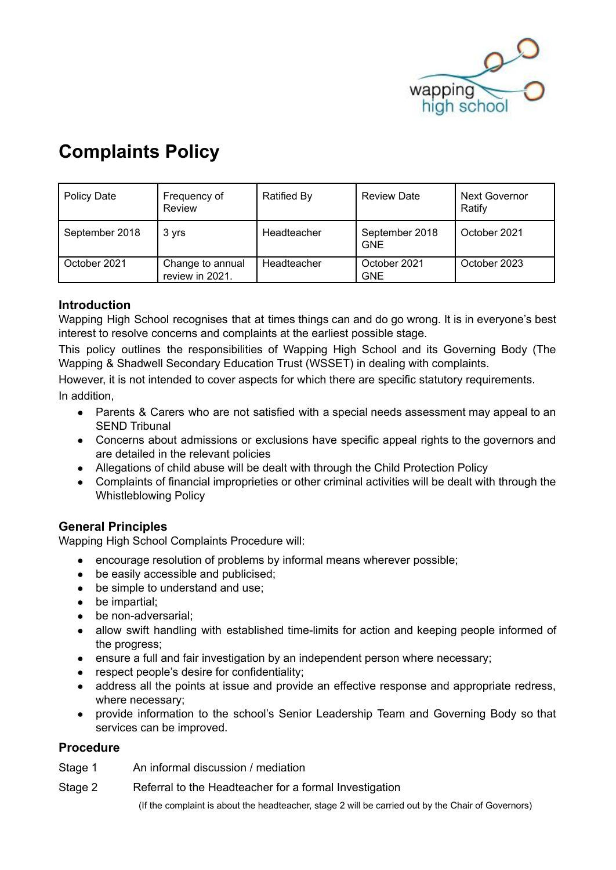

# **Complaints Policy**

| <b>Policy Date</b> | Frequency of<br>Review              | <b>Ratified By</b> | <b>Review Date</b>           | <b>Next Governor</b><br>Ratify |
|--------------------|-------------------------------------|--------------------|------------------------------|--------------------------------|
| September 2018     | 3 yrs                               | Headteacher        | September 2018<br><b>GNE</b> | October 2021                   |
| October 2021       | Change to annual<br>review in 2021. | Headteacher        | October 2021<br><b>GNE</b>   | October 2023                   |

# **Introduction**

Wapping High School recognises that at times things can and do go wrong. It is in everyone's best interest to resolve concerns and complaints at the earliest possible stage.

This policy outlines the responsibilities of Wapping High School and its Governing Body (The Wapping & Shadwell Secondary Education Trust (WSSET) in dealing with complaints.

However, it is not intended to cover aspects for which there are specific statutory requirements. In addition,

- Parents & Carers who are not satisfied with a special needs assessment may appeal to an SEND Tribunal
- Concerns about admissions or exclusions have specific appeal rights to the governors and are detailed in the relevant policies
- Allegations of child abuse will be dealt with through the Child Protection Policy
- Complaints of financial improprieties or other criminal activities will be dealt with through the Whistleblowing Policy

#### **General Principles**

Wapping High School Complaints Procedure will:

- encourage resolution of problems by informal means wherever possible:
- be easily accessible and publicised;
- be simple to understand and use:
- be impartial:
- be non-adversarial;
- allow swift handling with established time-limits for action and keeping people informed of the progress;
- ensure a full and fair investigation by an independent person where necessary;
- respect people's desire for confidentiality;
- address all the points at issue and provide an effective response and appropriate redress, where necessary;
- provide information to the school's Senior Leadership Team and Governing Body so that services can be improved.

## **Procedure**

- Stage 1 An informal discussion / mediation
- Stage 2 Referral to the Headteacher for a formal Investigation

(If the complaint is about the headteacher, stage 2 will be carried out by the Chair of Governors)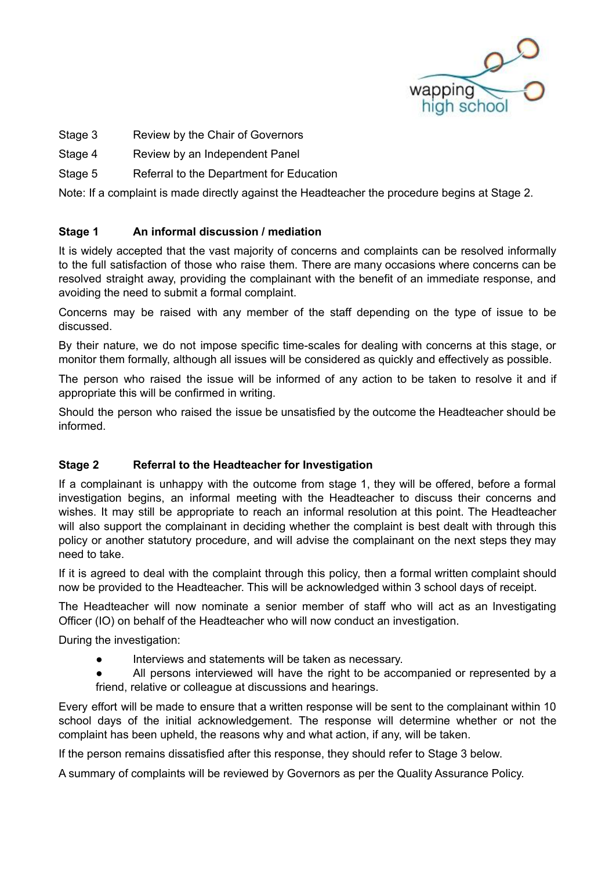

- Stage 3 Review by the Chair of Governors
- Stage 4 Review by an Independent Panel
- Stage 5 Referral to the Department for Education

Note: If a complaint is made directly against the Headteacher the procedure begins at Stage 2.

## **Stage 1 An informal discussion / mediation**

It is widely accepted that the vast majority of concerns and complaints can be resolved informally to the full satisfaction of those who raise them. There are many occasions where concerns can be resolved straight away, providing the complainant with the benefit of an immediate response, and avoiding the need to submit a formal complaint.

Concerns may be raised with any member of the staff depending on the type of issue to be discussed.

By their nature, we do not impose specific time-scales for dealing with concerns at this stage, or monitor them formally, although all issues will be considered as quickly and effectively as possible.

The person who raised the issue will be informed of any action to be taken to resolve it and if appropriate this will be confirmed in writing.

Should the person who raised the issue be unsatisfied by the outcome the Headteacher should be informed.

# **Stage 2 Referral to the Headteacher for Investigation**

If a complainant is unhappy with the outcome from stage 1, they will be offered, before a formal investigation begins, an informal meeting with the Headteacher to discuss their concerns and wishes. It may still be appropriate to reach an informal resolution at this point. The Headteacher will also support the complainant in deciding whether the complaint is best dealt with through this policy or another statutory procedure, and will advise the complainant on the next steps they may need to take.

If it is agreed to deal with the complaint through this policy, then a formal written complaint should now be provided to the Headteacher. This will be acknowledged within 3 school days of receipt.

The Headteacher will now nominate a senior member of staff who will act as an Investigating Officer (IO) on behalf of the Headteacher who will now conduct an investigation.

During the investigation:

- Interviews and statements will be taken as necessary.
- All persons interviewed will have the right to be accompanied or represented by a friend, relative or colleague at discussions and hearings.

Every effort will be made to ensure that a written response will be sent to the complainant within 10 school days of the initial acknowledgement. The response will determine whether or not the complaint has been upheld, the reasons why and what action, if any, will be taken.

If the person remains dissatisfied after this response, they should refer to Stage 3 below.

A summary of complaints will be reviewed by Governors as per the Quality Assurance Policy.